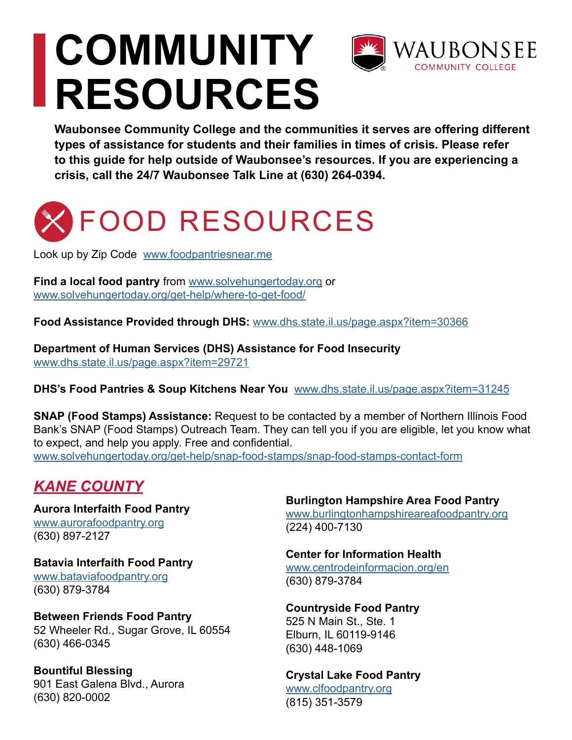# **COMMUNITY RESOURCES**



**Waubonsee Community College and the communities it serves are offering different types of assistance for students and their families in times of crisis. Please refer to this guide for help outside of Waubonsee's resources. If you are experiencing a crisis, call the 24/7 Waubonsee Talk Line at (630) 264-0394.** 

## FOOD RESOURCES

Look up by Zip Code [www.foodpantriesnear.me](http://www.foodpantriesnear.me)

**Find a local food pantry** from [www.solvehungertoday.org](http://www.solvehungertoday.org) or [www.solvehungertoday.org/get-help/where-to-get-food/](http://www.solvehungertoday.org/get-help/where-to-get-food/)

**Food Assistance Provided through DHS:** [www.dhs.state.il.us/page.aspx?item=30366](http://www.dhs.state.il.us/page.aspx?item=30366)

**Department of Human Services (DHS) Assistance for Food Insecurity**  [www.dhs.state.il.us/page.aspx?item=29721](http://www.dhs.state.il.us/page.aspx?item=29721)

**DHS's Food Pantries & Soup Kitchens Near You** [www.dhs.state.il.us/page.aspx?item=31245](http://www.dhs.state.il.us/page.aspx?item=31245)

**SNAP (Food Stamps) Assistance:** Request to be contacted by a member of Northern Illinois Food Bank's SNAP (Food Stamps) Outreach Team. They can tell you if you are eligible, let you know what to expect, and help you apply. Free and confidential. [www.solvehungertoday.org/get-help/snap-food-stamps/snap-food-stamps-contact-form](http://www.solvehungertoday.org/get-help/snap-food-stamps/snap-food-stamps-contact-form)

### *KANE COUNTY*

**Aurora Interfaith Food Pantry** [www.aurorafoodpantry.org](http://www.aurorafoodpantry.org) (630) 897-2127

**Batavia Interfaith Food Pantry** [www.bataviafoodpantry.org](http://www.bataviafoodpantry.org) (630) 879-3784

**Between Friends Food Pantry** 52 Wheeler Rd., Sugar Grove, IL 60554 (630) 466-0345

**Bountiful Blessing** 901 East Galena Blvd., Aurora (630) 820-0002

**Burlington Hampshire Area Food Pantry** [www.burlingtonhampshireareafoodpantry.org](http://www.burlingtonhampshireareafoodpantry.org)

(224) 400-7130

**Center for Information Health** [www.centrodeinformacion.org/en](http://www.centrodeinformacion.org/en) (630) 879-3784

**Countryside Food Pantry** 525 N Main St., Ste. 1 Elburn, IL 60119-9146 (630) 448-1069

**Crystal Lake Food Pantry** [www.clfoodpantry.org](http://www.clfoodpantry.org) (815) 351-3579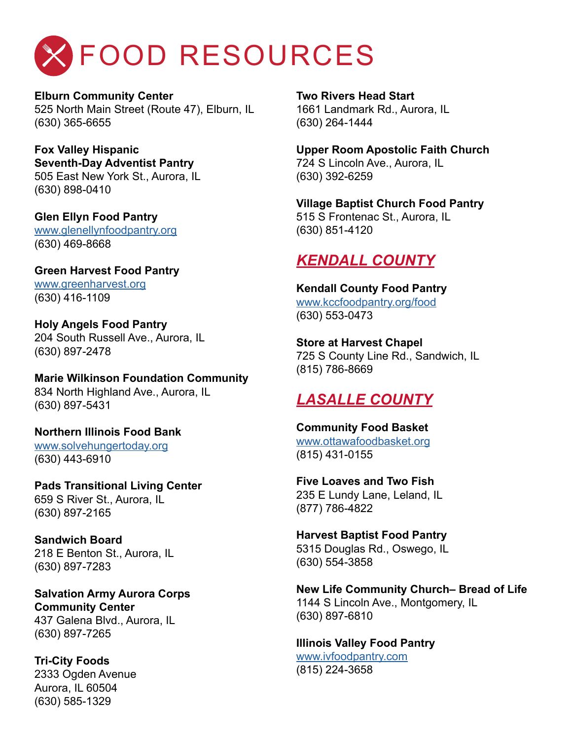## FOOD RESOURCES

**Elburn Community Center** 525 North Main Street (Route 47), Elburn, IL (630) 365-6655

### **Fox Valley Hispanic**

**Seventh-Day Adventist Pantry** 505 East New York St., Aurora, IL (630) 898-0410

#### **Glen Ellyn Food Pantry** [www.glenellynfoodpantry.org](http://www.glenellynfoodpantry.org) (630) 469-8668

**Green Harvest Food Pantry** [www.greenharvest.org](http://www.greenharvest.org) (630) 416-1109

**Holy Angels Food Pantry** 204 South Russell Ave., Aurora, IL (630) 897-2478

**Marie Wilkinson Foundation Community** 834 North Highland Ave., Aurora, IL (630) 897-5431

**Northern Illinois Food Bank** [www.solvehungertoday.org](http://www.solvehungertoday.org) (630) 443-6910

**Pads Transitional Living Center** 659 S River St., Aurora, IL (630) 897-2165

**Sandwich Board** 218 E Benton St., Aurora, IL (630) 897-7283

**Salvation Army Aurora Corps Community Center** 437 Galena Blvd., Aurora, IL (630) 897-7265

**Tri-City Foods** 2333 Ogden Avenue Aurora, IL 60504 (630) 585-1329

**Two Rivers Head Start** 1661 Landmark Rd., Aurora, IL (630) 264-1444

**Upper Room Apostolic Faith Church** 724 S Lincoln Ave., Aurora, IL (630) 392-6259

**Village Baptist Church Food Pantry** 515 S Frontenac St., Aurora, IL (630) 851-4120

## *KENDALL COUNTY*

**Kendall County Food Pantry** [www.kccfoodpantry.org/food](http://www.kccfoodpantry.org/food) (630) 553-0473

**Store at Harvest Chapel** 725 S County Line Rd., Sandwich, IL (815) 786-8669

## *LASALLE COUNTY*

**Community Food Basket** [www.ottawafoodbasket.org](http://www.ottawafoodbasket.org) (815) 431-0155

**Five Loaves and Two Fish** 235 E Lundy Lane, Leland, IL (877) 786-4822

**Harvest Baptist Food Pantry** 5315 Douglas Rd., Oswego, IL (630) 554-3858

**New Life Community Church– Bread of Life** 1144 S Lincoln Ave., Montgomery, IL (630) 897-6810

**Illinois Valley Food Pantry**

[www.ivfoodpantry.com](http://www.ivfoodpantry.com) (815) 224-3658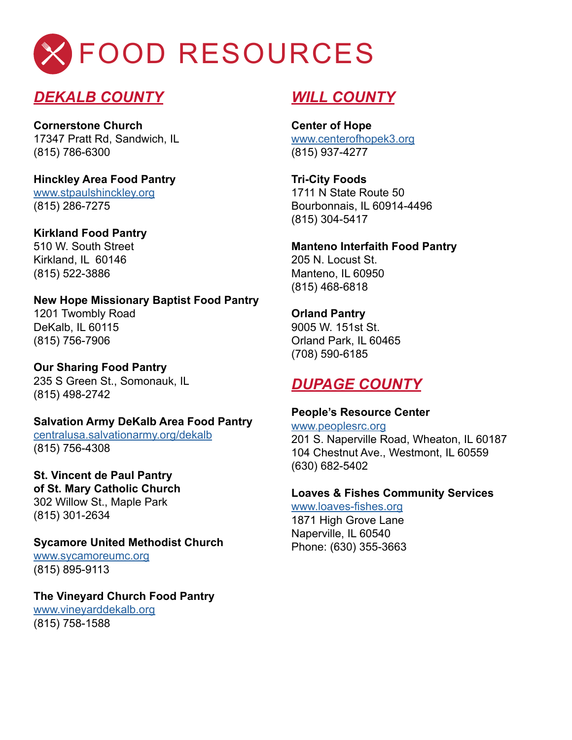

### *DEKALB COUNTY*

**Cornerstone Church** 17347 Pratt Rd, Sandwich, IL (815) 786-6300

**Hinckley Area Food Pantry** [www.stpaulshinckley.org](http://www.stpaulshinckley.org) (815) 286-7275

**Kirkland Food Pantry** 510 W. South Street Kirkland, IL 60146 (815) 522-3886

**New Hope Missionary Baptist Food Pantry** 1201 Twombly Road DeKalb, IL 60115 (815) 756-7906

**Our Sharing Food Pantry** 235 S Green St., Somonauk, IL (815) 498-2742

**Salvation Army DeKalb Area Food Pantry**

[centralusa.salvationarmy.org/dekalb](http://centralusa.salvationarmy.org/dekalb) (815) 756-4308

**St. Vincent de Paul Pantry of St. Mary Catholic Church** 302 Willow St., Maple Park (815) 301-2634

**Sycamore United Methodist Church**

[www.sycamoreumc.org](http://www.sycamoreumc.org) (815) 895-9113

**The Vineyard Church Food Pantry**

[www.vineyarddekalb.org](http://www.vineyarddekalb.org) (815) 758-1588

### *WILL COUNTY*

**Center of Hope** [www.centerofhopek3.org](http://www.centerofhopek3.org) (815) 937-4277

**Tri-City Foods** 1711 N State Route 50 Bourbonnais, IL 60914-4496 (815) 304-5417

**Manteno Interfaith Food Pantry** 205 N. Locust St. Manteno, IL 60950 (815) 468-6818

**Orland Pantry** 9005 W. 151st St. Orland Park, IL 60465 (708) 590-6185

### *DUPAGE COUNTY*

**People's Resource Center**

[www.peoplesrc.org](http://www.peoplesrc.org) 201 S. Naperville Road, Wheaton, IL 60187 104 Chestnut Ave., Westmont, IL 60559 (630) 682-5402

**Loaves & Fishes Community Services**

[www.loaves-fishes.org](http://www.loaves-fishes.org) 1871 High Grove Lane Naperville, IL 60540 Phone: (630) 355-3663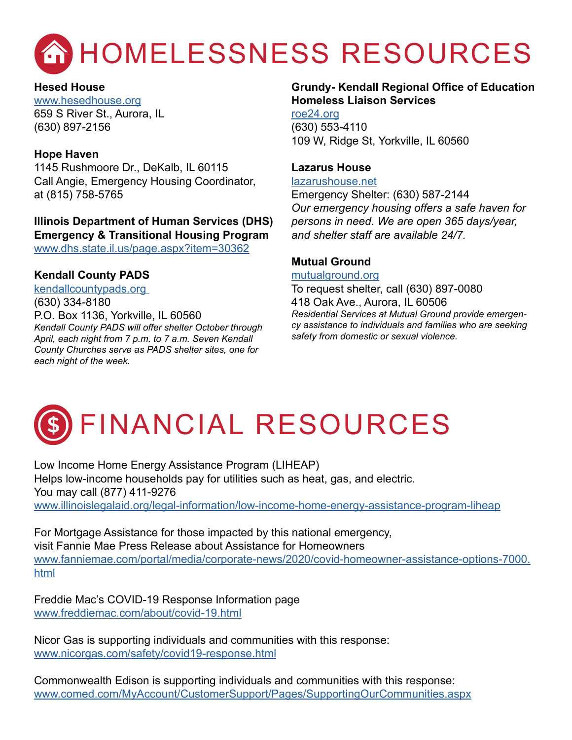

**Hesed House** [www.hesedhouse.org](http://www.hesedhouse.org) 659 S River St., Aurora, IL (630) 897-2156

#### **Hope Haven**

1145 Rushmoore Dr., DeKalb, IL 60115 Call Angie, Emergency Housing Coordinator, at (815) 758-5765

**Illinois Department of Human Services (DHS) Emergency & Transitional Housing Program**  [www.dhs.state.il.us/page.aspx?item=30362](http://www.dhs.state.il.us/page.aspx?item=30362)

#### **Kendall County PADS**

[kendallcountypads.org](http://kendallcountypads.org )  (630) 334-8180 P.O. Box 1136, Yorkville, IL 60560 *Kendall County PADS will offer shelter October through April, each night from 7 p.m. to 7 a.m. Seven Kendall County Churches serve as PADS shelter sites, one for each night of the week.* 

#### **Grundy- Kendall Regional Office of Education Homeless Liaison Services**

[roe24.org](http://roe24.org ) (630) 553-4110 109 W, Ridge St, Yorkville, IL 60560

#### **Lazarus House**

[lazarushouse.net](http://lazarushouse.net)

Emergency Shelter: (630) 587-2144 *Our emergency housing offers a safe haven for persons in need. We are open 365 days/year, and shelter staff are available 24/7.*

#### **Mutual Ground**

#### [mutualground.org](http://mutualground.org )

To request shelter, call (630) 897-0080 418 Oak Ave., Aurora, IL 60506 *Residential Services at Mutual Ground provide emergency assistance to individuals and families who are seeking safety from domestic or sexual violence.*



Low Income Home Energy Assistance Program (LIHEAP) Helps low-income households pay for utilities such as heat, gas, and electric. You may call (877) 411-9276 [www.illinoislegalaid.org/legal-information/low-income-home-energy-assistance-program-liheap](http://www.illinoislegalaid.org/legal-information/low-income-home-energy-assistance-program-liheap)

For Mortgage Assistance for those impacted by this national emergency, visit Fannie Mae Press Release about Assistance for Homeowners [www.fanniemae.com/portal/media/corporate-news/2020/covid-homeowner-assistance-options-7000.](http://www.fanniemae.com/portal/media/corporate-news/2020/covid-homeowner-assistance-options-7000.html) [html](http://www.fanniemae.com/portal/media/corporate-news/2020/covid-homeowner-assistance-options-7000.html)

Freddie Mac's COVID-19 Response Information page [www.freddiemac.com/about/covid-19.html](http://www.freddiemac.com/about/covid-19.html)

Nicor Gas is supporting individuals and communities with this response: [www.nicorgas.com/safety/covid19-response.html](http://www.nicorgas.com/safety/covid19-response.html)

Commonwealth Edison is supporting individuals and communities with this response: [www.comed.com/MyAccount/CustomerSupport/Pages/SupportingOurCommunities.aspx](http://www.comed.com/MyAccount/CustomerSupport/Pages/SupportingOurCommunities.aspx)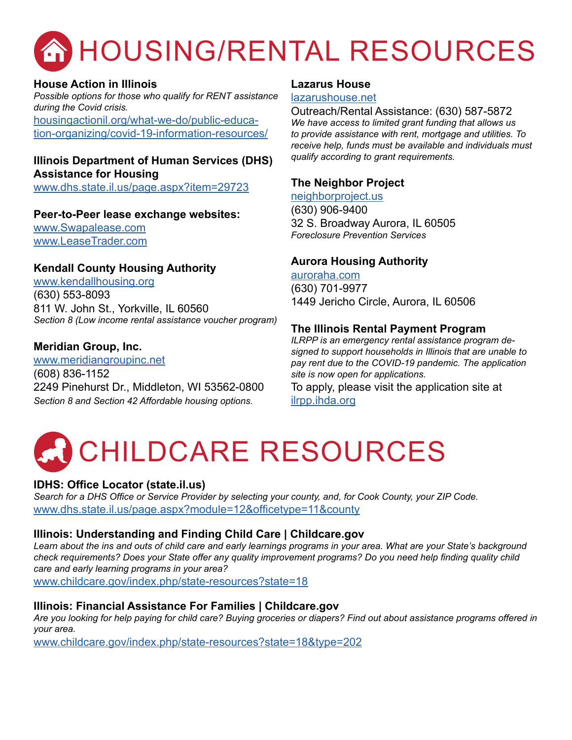

#### **House Action in Illinois**

*Possible options for those who qualify for RENT assistance during the Covid crisis.* 

[housingactionil.org/what-we-do/public-educa](http://housingactionil.org/what-we-do/public-education-organizing/covid-19-information-resources/)[tion-organizing/covid-19-information-resources/](http://housingactionil.org/what-we-do/public-education-organizing/covid-19-information-resources/)

#### **Illinois Department of Human Services (DHS) Assistance for Housing**

[www.dhs.state.il.us/page.aspx?item=29723](http://www.dhs.state.il.us/page.aspx?item=29723)

#### **Peer-to-Peer lease exchange websites:**

[www.Swapalease.com](http://www.Swapalease.com) [www.LeaseTrader.com](http://www.LeaseTrader.com)

#### **Kendall County Housing Authority**

[www.kendallhousing.org](http://www.kendallhousing.org) (630) 553-8093 811 W. John St., Yorkville, IL 60560 *Section 8 (Low income rental assistance voucher program)* 

#### **Meridian Group, Inc.**

[www.meridiangroupinc.net](http://www.meridiangroupinc.net) (608) 836-1152 2249 Pinehurst Dr., Middleton, WI 53562-0800 *Section 8 and Section 42 Affordable housing options.*

#### **Lazarus House**

#### [lazarushouse.net](http://lazarushouse.net)

Outreach/Rental Assistance: (630) 587-5872 *We have access to limited grant funding that allows us to provide assistance with rent, mortgage and utilities. To receive help, funds must be available and individuals must qualify according to grant requirements.*

#### **The Neighbor Project**

[neighborproject.us](http://neighborproject.us) (630) 906-9400 32 S. Broadway Aurora, IL 60505 *Foreclosure Prevention Services*

#### **Aurora Housing Authority**

[auroraha.com](http://auroraha.com) (630) 701-9977 1449 Jericho Circle, Aurora, IL 60506

#### **The Illinois Rental Payment Program**

*ILRPP is an emergency rental assistance program designed to support households in Illinois that are unable to pay rent due to the COVID-19 pandemic. The application site is now open for applications.*

To apply, please visit the application site at [ilrpp.ihda.org](http://ilrpp.ihda.org)

## CHILDCARE RESOURCES

#### **[IDHS: Office Locator \(state.il.us\)](https://www.dhs.state.il.us/page.aspx?module=12&officetype=11&county)**

*Search for a DHS Office or Service Provider by selecting your county, and, for Cook County, your ZIP Code.* www.dhs.state.il.us/page.aspx?module=12&officetype=11&county

#### **[Illinois: Understanding and Finding Child Care | Childcare.gov](https://www.childcare.gov/index.php/state-resources?state=18)**

*Learn about the ins and outs of child care and early learnings programs in your area. What are your State's background check requirements? Does your State offer any quality improvement programs? Do you need help finding quality child care and early learning programs in your area?*

www.childcare.gov/index.php/state-resources?state=18

#### **[Illinois: Financial Assistance For Families](https://www.childcare.gov/index.php/state-resources?state=18&type=202) | Childcare.gov**

*Are you looking for help paying for child care? Buying groceries or diapers? Find out about assistance programs offered in your area.*

www.childcare.gov/index.php/state-resources?state=18&type=202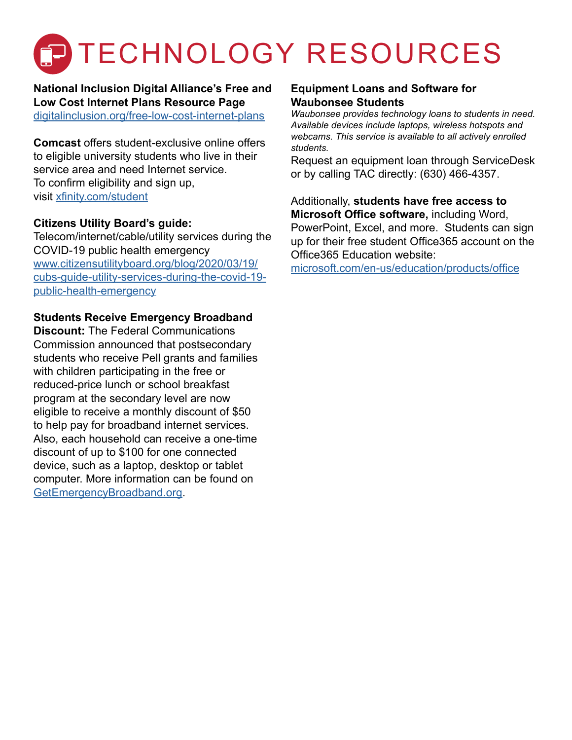## **P TECHNOLOGY RESOURCES**

**National Inclusion Digital Alliance's Free and Low Cost Internet Plans Resource Page** [digitalinclusion.org/free-low-cost-internet-plans](http://www.digitalinclusion.org/free-low-cost-internet-plans)

**Comcast** offers student-exclusive online offers to eligible university students who live in their service area and need Internet service. To confirm eligibility and sign up, visit [xfinity.com/student](http://www.xfinity.com/student)

#### **Citizens Utility Board's guide:**

Telecom/internet/cable/utility services during the COVID-19 public health emergency [www.citizensutilityboard.org/blog/2020/03/19/](http://www.citizensutilityboard.org/blog/2020/03/19/cubs-guide-utility-services-during-the-covid-19-public-health-emergency) [cubs-guide-utility-services-during-the-covid-19](http://www.citizensutilityboard.org/blog/2020/03/19/cubs-guide-utility-services-during-the-covid-19-public-health-emergency) [public-health-emergency](http://www.citizensutilityboard.org/blog/2020/03/19/cubs-guide-utility-services-during-the-covid-19-public-health-emergency)

#### **Students Receive Emergency Broadband**

**Discount:** The Federal Communications Commission announced that postsecondary students who receive Pell grants and families with children participating in the free or reduced-price lunch or school breakfast program at the secondary level are now eligible to receive a monthly discount of \$50 to help pay for broadband internet services. Also, each household can receive a one-time discount of up to \$100 for one connected device, such as a laptop, desktop or tablet computer. More information can be found on [GetEmergencyBroadband.org](http://GetEmergencyBroadband.org).

#### **Equipment Loans and Software for Waubonsee Students**

*Waubonsee provides technology loans to students in need. Available devices include laptops, wireless hotspots and webcams. This service is available to all actively enrolled students.* 

Request an equipment loan through ServiceDesk or by calling TAC directly: (630) 466-4357.

Additionally, **students have free access to Microsoft Office software,** including Word, PowerPoint, Excel, and more. Students can sign up for their free student Office365 account on the Office365 Education website:

[microsoft.com/en-us/education/products/office](http://microsoft.com/en-us/education/products/office)